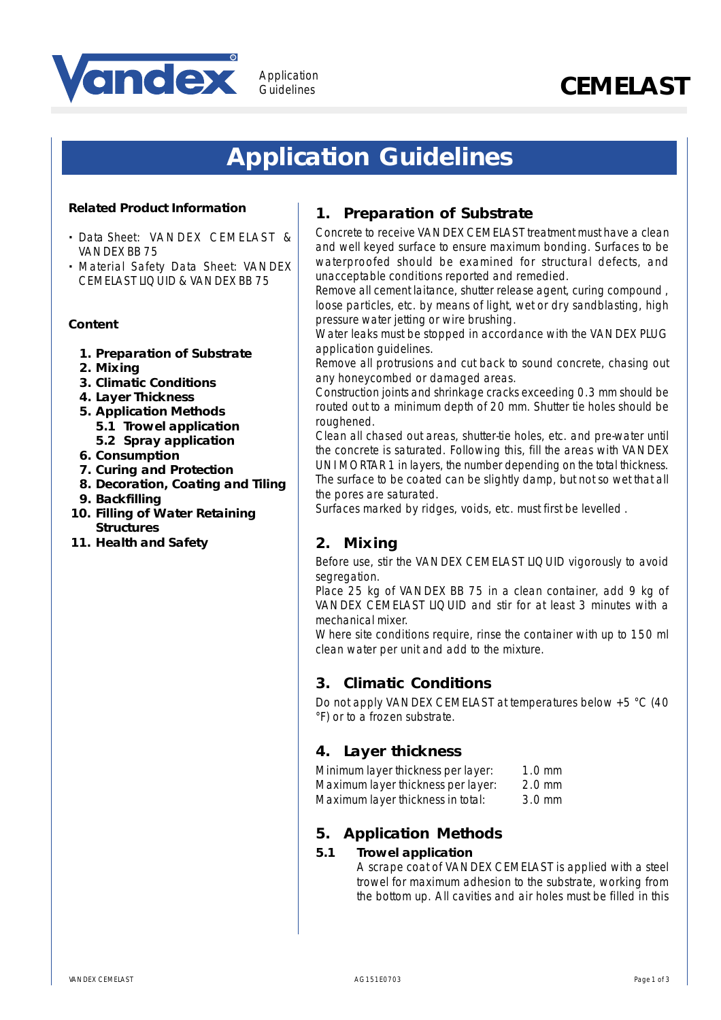

# Application<br>Guidelines **CEMELAST**

## **Application Guidelines**

Guidelines

#### **Related Product Information**

- **·** Data Sheet: VANDEX CEMELAST & VANDEX BB 75
- **·** Material Safety Data Sheet: VANDEX CEMELAST LIQUID & VANDEX BB 75

#### **Content**

- **1. Preparation of Substrate**
- **2. Mixing**
- **3. Climatic Conditions**
- **4. Layer Thickness**
- **5. Application Methods 5.1 Trowel application**
- **5.2 Spray application 6. Consumption**
- **7. Curing and Protection**
- **8. Decoration, Coating and Tiling**
- **9. Backfilling**
- **10. Filling of Water Retaining Structures**
- **11. Health and Safety**

## **1. Preparation of Substrate**

Concrete to receive VANDEX CEMELAST treatment must have a clean and well keyed surface to ensure maximum bonding. Surfaces to be waterproofed should be examined for structural defects, and unacceptable conditions reported and remedied.

Remove all cement laitance, shutter release agent, curing compound , loose particles, etc. by means of light, wet or dry sandblasting, high pressure water jetting or wire brushing.

Water leaks must be stopped in accordance with the VANDEX PLUG application guidelines.

Remove all protrusions and cut back to sound concrete, chasing out any honeycombed or damaged areas.

Construction joints and shrinkage cracks exceeding 0.3 mm should be routed out to a minimum depth of 20 mm. Shutter tie holes should be roughened.

Clean all chased out areas, shutter-tie holes, etc. and pre-water until the concrete is saturated. Following this, fill the areas with VANDEX UNI MORTAR 1 in layers, the number depending on the total thickness. The surface to be coated can be slightly damp, but not so wet that all the pores are saturated.

Surfaces marked by ridges, voids, etc. must first be levelled .

## **2. Mixing**

Before use, stir the VANDEX CEMELAST LIQUID vigorously to avoid segregation.

Place 25 kg of VANDEX BB 75 in a clean container, add 9 kg of VANDEX CEMELAST LIQUID and stir for at least 3 minutes with a mechanical mixer.

Where site conditions require, rinse the container with up to 150 ml clean water per unit and add to the mixture.

## **3. Climatic Conditions**

Do not apply VANDEX CEMELAST at temperatures below +5 °C (40 °F) or to a frozen substrate.

## **4. Layer thickness**

| Minimum layer thickness per layer: | $1.0 \text{ mm}$ |
|------------------------------------|------------------|
| Maximum layer thickness per layer: | $2.0$ mm         |
| Maximum layer thickness in total:  | $3.0 \text{ mm}$ |

## **5. Application Methods**

#### **5.1 Trowel application**

A scrape coat of VANDEX CEMELAST is applied with a steel trowel for maximum adhesion to the substrate, working from the bottom up. All cavities and air holes must be filled in this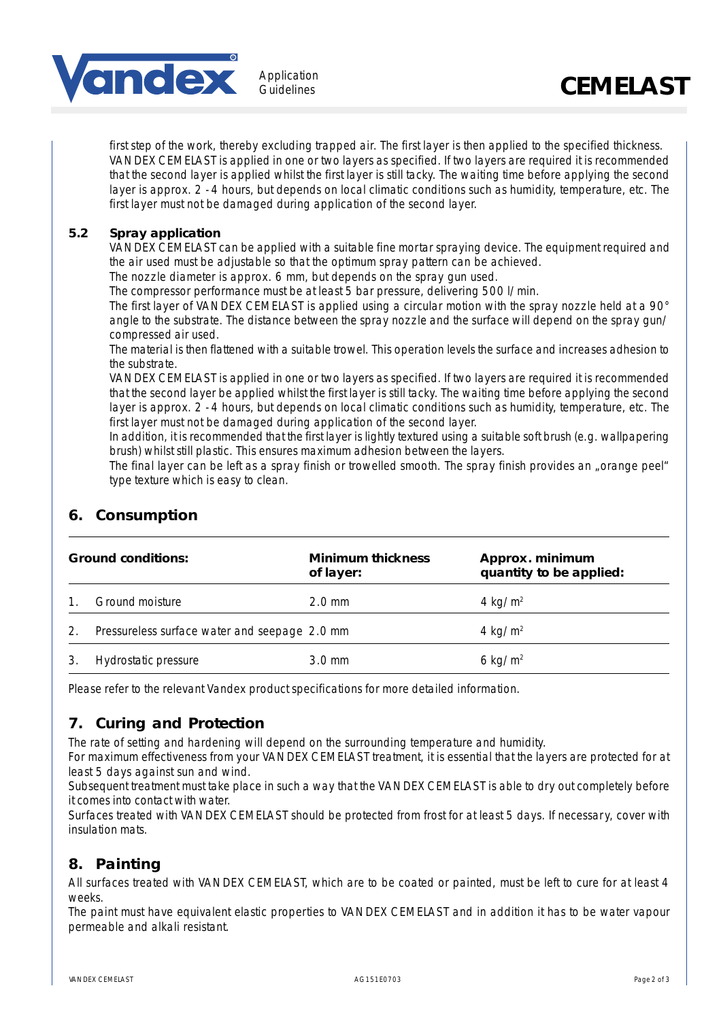

first step of the work, thereby excluding trapped air. The first layer is then applied to the specified thickness. VANDEX CEMELAST is applied in one or two layers as specified. If two layers are required it is recommended that the second layer is applied whilst the first layer is still tacky. The waiting time before applying the second layer is approx. 2 - 4 hours, but depends on local climatic conditions such as humidity, temperature, etc. The first layer must not be damaged during application of the second layer.

#### **5.2 Spray application**

VANDEX CEMELAST can be applied with a suitable fine mortar spraying device. The equipment required and the air used must be adjustable so that the optimum spray pattern can be achieved.

The nozzle diameter is approx. 6 mm, but depends on the spray gun used.

The compressor performance must be at least 5 bar pressure, delivering 500 l/min.

The first layer of VANDEX CEMELAST is applied using a circular motion with the spray nozzle held at a 90° angle to the substrate. The distance between the spray nozzle and the surface will depend on the spray gun/ compressed air used.

The material is then flattened with a suitable trowel. This operation levels the surface and increases adhesion to the substrate.

VANDEX CEMELAST is applied in one or two layers as specified. If two layers are required it is recommended that the second layer be applied whilst the first layer is still tacky. The waiting time before applying the second layer is approx. 2 - 4 hours, but depends on local climatic conditions such as humidity, temperature, etc. The first layer must not be damaged during application of the second layer.

In addition, it is recommended that the first layer is lightly textured using a suitable soft brush (e.g. wallpapering brush) whilst still plastic. This ensures maximum adhesion between the layers.

The final layer can be left as a spray finish or trowelled smooth. The spray finish provides an "orange peel" type texture which is easy to clean.

## **6. Consumption**

| <b>Ground conditions:</b> |                                               | <b>Minimum thickness</b><br>of layer: | Approx. minimum<br>quantity to be applied: |
|---------------------------|-----------------------------------------------|---------------------------------------|--------------------------------------------|
|                           | Ground moisture                               | $2.0 \text{ mm}$                      | 4 kg/ $m2$                                 |
| 2.                        | Pressureless surface water and seepage 2.0 mm |                                       | 4 kg/m <sup>2</sup>                        |
|                           | Hydrostatic pressure                          | $3.0 \,\mathrm{mm}$                   | 6 kg/ $m2$                                 |

Please refer to the relevant Vandex product specifications for more detailed information.

## **7. Curing and Protection**

The rate of setting and hardening will depend on the surrounding temperature and humidity.

For maximum effectiveness from your VANDEX CEMELAST treatment, it is essential that the layers are protected for at least 5 days against sun and wind.

Subsequent treatment must take place in such a way that the VANDEX CEMELAST is able to dry out completely before it comes into contact with water.

Surfaces treated with VANDEX CEMELAST should be protected from frost for at least 5 days. If necessary, cover with insulation mats.

## **8. Painting**

All surfaces treated with VANDEX CEMELAST, which are to be coated or painted, must be left to cure for at least 4 weeks.

The paint must have equivalent elastic properties to VANDEX CEMELAST and in addition it has to be water vapour permeable and alkali resistant.